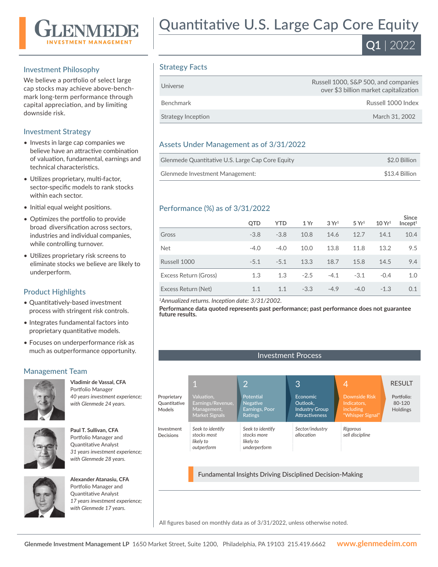

#### Investment Philosophy

We believe a portfolio of select large cap stocks may achieve above-benchmark long-term performance through capital appreciation, and by limiting downside risk.

#### Investment Strategy

- Invests in large cap companies we believe have an attractive combination of valuation, fundamental, earnings and technical characteristics.
- Utilizes proprietary, multi-factor, sector-specific models to rank stocks within each sector.
- Initial equal weight positions.
- Optimizes the portfolio to provide broad diversification across sectors, industries and individual companies, while controlling turnover.
- Utilizes proprietary risk screens to eliminate stocks we believe are likely to underperform.

## Product Highlights

- Quantitatively-based investment process with stringent risk controls.
- Integrates fundamental factors into proprietary quantitative models.
- Focuses on underperformance risk as much as outperformance opportunity.

## Management Team



**Vladimir de Vassal, CFA**  Portfolio Manager *40 years investment experience; with Glenmede 24 years.*



**Paul T. Sullivan, CFA**  Portfolio Manager and Quantitative Analyst *31 years investment experience; with Glenmede 28 years.*



**Alexander Atanasiu, CFA**  Portfolio Manager and Quantitative Analyst *17 years investment experience; with Glenmede 17 years.*

# Quantitative U.S. Large Cap Core Equity



#### Strategy Facts

| Universe           | Russell 1000, S&P 500, and companies<br>over \$3 billion market capitalization |
|--------------------|--------------------------------------------------------------------------------|
| Benchmark          | Russell 1000 Index                                                             |
| Strategy Inception | March 31, 2002                                                                 |

#### Assets Under Management as of 3/31/2022

| Glenmede Quantitative U.S. Large Cap Core Equity | \$2.0 Billion  |
|--------------------------------------------------|----------------|
| Glenmede Investment Management:                  | \$13.4 Billion |

#### Performance (%) as of 3/31/2022

|                       | <b>OTD</b> | <b>YTD</b> | 1 Yr   | 3Yr <sup>1</sup> | 5 Yr <sup>1</sup> | 10 Yr <sup>1</sup> | <b>Since</b><br>Incept <sup>1</sup> |
|-----------------------|------------|------------|--------|------------------|-------------------|--------------------|-------------------------------------|
| Gross                 | $-3.8$     | $-3.8$     | 10.8   | 14.6             | 12.7              | 14.1               | 10.4                                |
| <b>Net</b>            | $-4.0$     | $-4.0$     | 10.0   | 13.8             | 11.8              | 13.2               | 9.5                                 |
| Russell 1000          | $-5.1$     | $-5.1$     | 13.3   | 18.7             | 15.8              | 14.5               | 9.4                                 |
| Excess Return (Gross) | 1.3        | 1.3        | $-2.5$ | $-4.1$           | $-3.1$            | $-0.4$             | 1.0                                 |
| Excess Return (Net)   | 1.1        | 1.1        | $-3.3$ | $-4.9$           | $-4.0$            | $-1.3$             | 0.1                                 |

*<sup>1</sup>Annualized returns. Inception date: 3/31/2002.*

**Performance data quoted represents past performance; past performance does not guarantee future results.**



All figures based on monthly data as of 3/31/2022, unless otherwise noted.